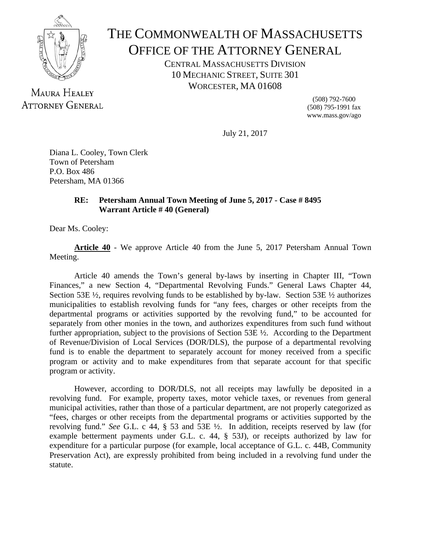

## THE COMMONWEALTH OF MASSACHUSETTS OFFICE OF THE ATTORNEY GENERAL

CENTRAL MASSACHUSETTS DIVISION 10 MECHANIC STREET, SUITE 301 WORCESTER, MA 01608

MAURA HEALEY **ATTORNEY GENERAL** 

(508) 792-7600 (508) 795-1991 fax www.mass.gov/ago

July 21, 2017

Diana L. Cooley, Town Clerk Town of Petersham P.O. Box 486 Petersham, MA 01366

## **RE: Petersham Annual Town Meeting of June 5, 2017 - Case # 8495 Warrant Article # 40 (General)**

Dear Ms. Cooley:

**Article 40** - We approve Article 40 from the June 5, 2017 Petersham Annual Town Meeting.

 Article 40 amends the Town's general by-laws by inserting in Chapter III, "Town Finances," a new Section 4, "Departmental Revolving Funds." General Laws Chapter 44, Section 53E ½, requires revolving funds to be established by by-law. Section 53E ½ authorizes municipalities to establish revolving funds for "any fees, charges or other receipts from the departmental programs or activities supported by the revolving fund," to be accounted for separately from other monies in the town, and authorizes expenditures from such fund without further appropriation, subject to the provisions of Section 53E ½. According to the Department of Revenue/Division of Local Services (DOR/DLS), the purpose of a departmental revolving fund is to enable the department to separately account for money received from a specific program or activity and to make expenditures from that separate account for that specific program or activity.

 However, according to DOR/DLS, not all receipts may lawfully be deposited in a revolving fund. For example, property taxes, motor vehicle taxes, or revenues from general municipal activities, rather than those of a particular department, are not properly categorized as "fees, charges or other receipts from the departmental programs or activities supported by the revolving fund." *See* G.L. c 44, § 53 and 53E ½. In addition, receipts reserved by law (for example betterment payments under G.L. c. 44, § 53J), or receipts authorized by law for expenditure for a particular purpose (for example, local acceptance of G.L. c. 44B, Community Preservation Act), are expressly prohibited from being included in a revolving fund under the statute.